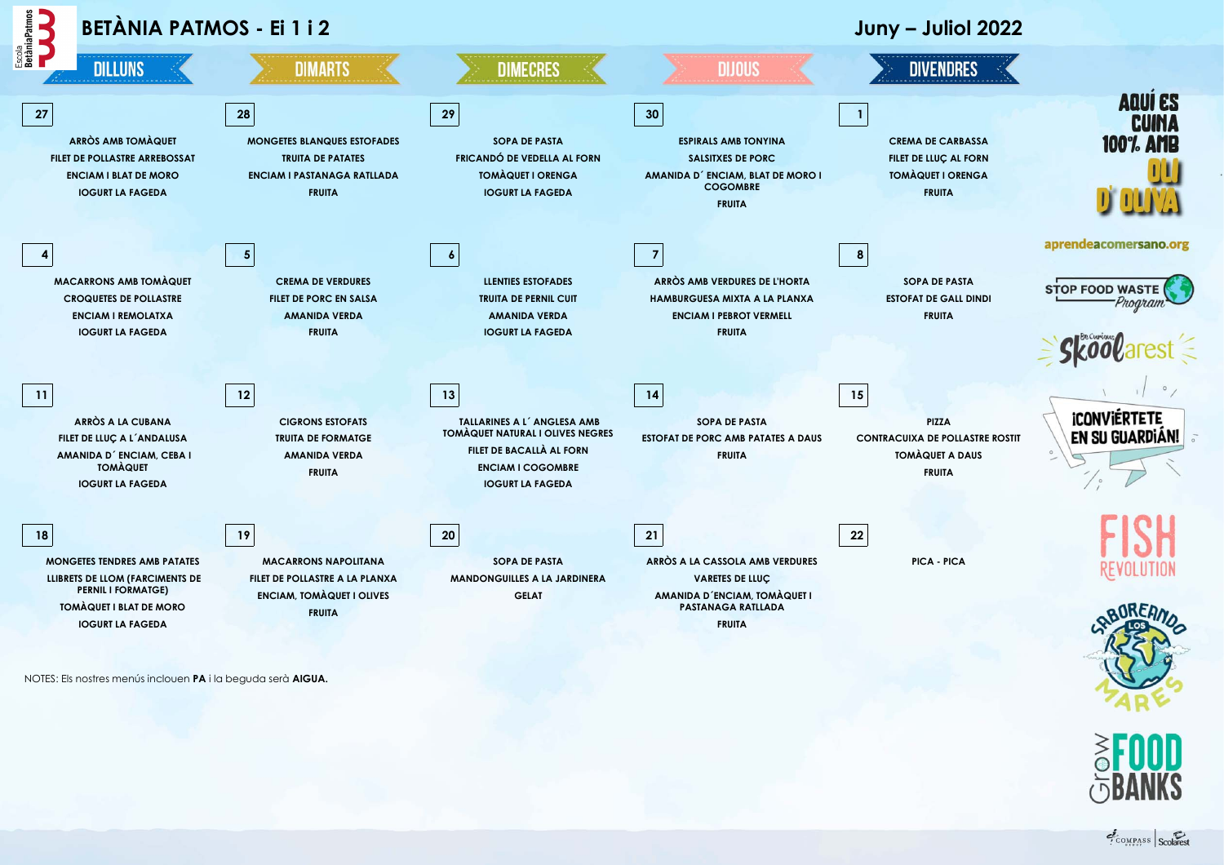

NOTES: Els nostres menús inclouen **PA** i la beguda serà **AIGUA.**

COMPASS Scolarest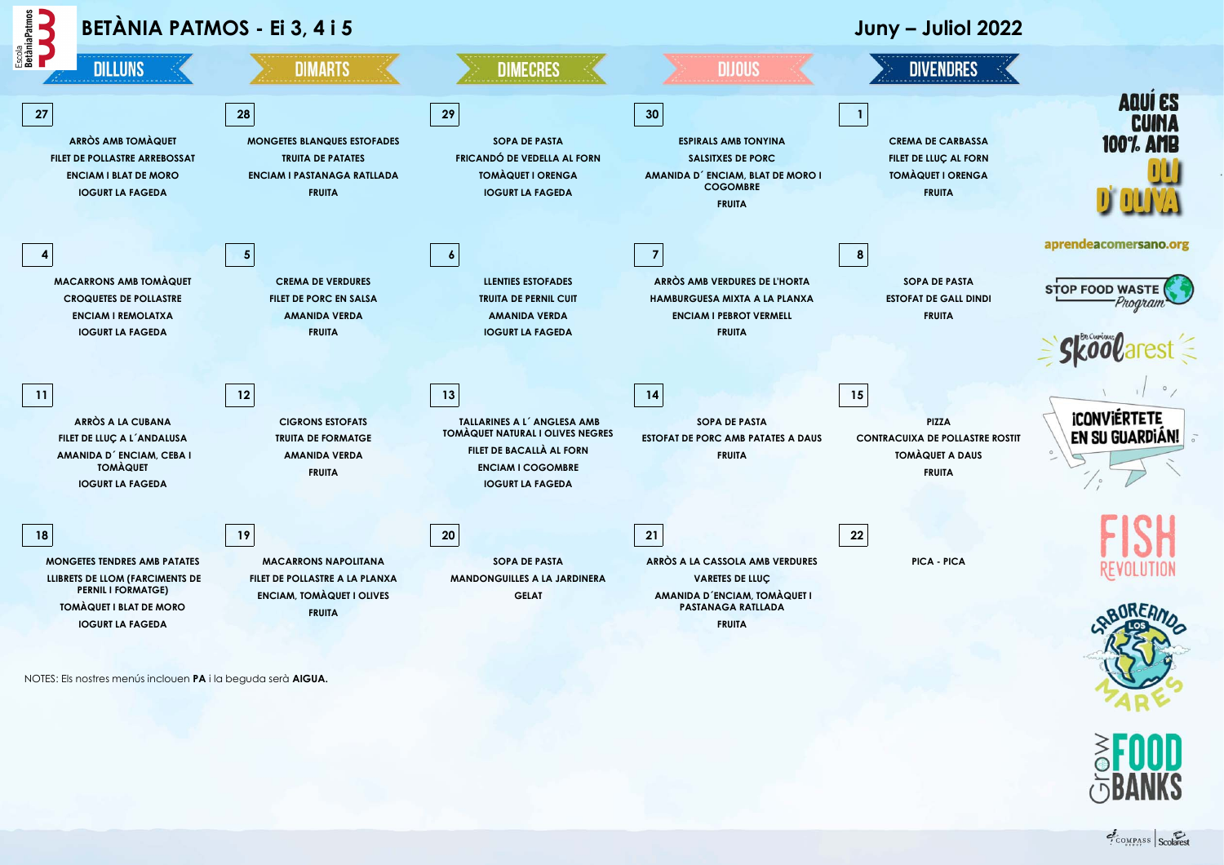

NOTES: Els nostres menús inclouen **PA** i la beguda serà **AIGUA.**

COMPASS Scolarest